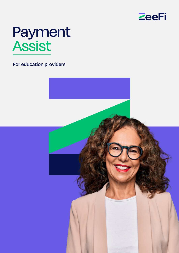

# Payment Assist

**For education providers**

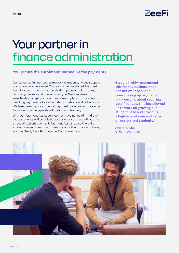

### Your partner in finance administration

#### **You secure the enrolment. We secure the payments.**

Our expertise in your sector means we understand the support education providers need. That's why we developed Payment Assist – so you can outsource student payment plans to us, removing the risk and burden from you. We specialise in sensitively managing student instalment plans from set up to handling payment failures, hardship situations and collections. We take care of your students' payment plans, so your team can focus on providing quality education and training.

With our Payment Assist service, you have peace of mind that more students will be able to access your courses without the stress of upfront payment. Payment Assist is also there if a student doesn't meet the criteria for our other finance options, such as Study Now Pay Later and Vocational Loans.

**"I would highly recommend this for any business that doesn't want to spend time chasing up payments and worrying about securing your finances. This has allowed us to work on growing our student base and providing a high level of care and focus on our current students."**

Adam Hewitt, Cyber Revolution

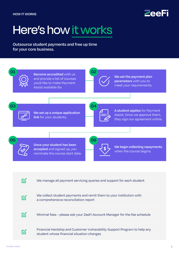

## Here's how it works

**Outsource student payments and free up time for your core business.** 

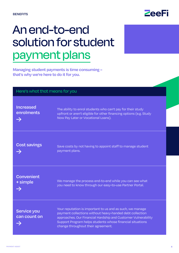

### An end-to-end solution for student payment plans

**Managing student payments is time consuming – that's why we're here to do it for you.**

| Here's what that means for you                  |                                                                                                                                                                                                                                                                                           |  |
|-------------------------------------------------|-------------------------------------------------------------------------------------------------------------------------------------------------------------------------------------------------------------------------------------------------------------------------------------------|--|
| <b>Increased</b><br>enrolments<br>$\rightarrow$ | The ability to enrol students who can't pay for their study<br>upfront or aren't eligible for other financing options (e.g. Study<br>Now Pay Later or Vocational Loans).                                                                                                                  |  |
| <b>Cost savings</b>                             | Save costs by not having to appoint staff to manage student<br>payment plans.                                                                                                                                                                                                             |  |
| Convenient<br>+ simple                          | We manage the process end-to-end while you can see what<br>you need to know through our easy-to-use Partner Portal.                                                                                                                                                                       |  |
| Service you<br>can count on                     | Your reputation is important to us and as such, we manage<br>payment collections without heavy-handed debt collection<br>approaches. Our Financial Hardship and Customer Vulnerability<br>Support Program helps students whose financial situations<br>change throughout their agreement. |  |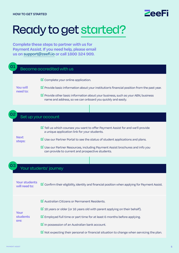

## Ready to get started?

**Complete these steps to partner with us for Payment Assist. If you need help, please email us on [support@zeefi.i](mailto:support%40zeefi.io?subject=)o or call 1800 324 909.**

| Become accredited with us |                                       |                                                                                                                                                                                                                                                                                                                                                                                                                              |
|---------------------------|---------------------------------------|------------------------------------------------------------------------------------------------------------------------------------------------------------------------------------------------------------------------------------------------------------------------------------------------------------------------------------------------------------------------------------------------------------------------------|
|                           | <b>You will</b><br>need to:           | $\triangleright$ Complete your online application.<br>$\triangledown$ Provide basic information about your institution's financial position from the past year.<br>$\overline{\mathbb{M}}$ Provide other basic information about your business, such as your ABN, business<br>name and address, so we can onboard you quickly and easily.                                                                                    |
| Set up your account       |                                       |                                                                                                                                                                                                                                                                                                                                                                                                                              |
|                           | <b>Next</b><br>steps:                 | $\overline{\mathbb{M}}$ Tell us which courses you want to offer Payment Assist for and we'll provide<br>a unique application link for your students.<br>$\overline{\mathbb{M}}$ Use our Partner Portal to see the status of student applications and plans.<br>$\overline{\mathbf{S}}$ Use our Partner Resources, including Payment Assist brochures and info you<br>can provide to current and prospective students.        |
|                           |                                       | Your students' journey                                                                                                                                                                                                                                                                                                                                                                                                       |
|                           | <b>Your students</b><br>will need to: | $\boxtimes$ Confirm their eligibility, identity and financial position when applying for Payment Assist.                                                                                                                                                                                                                                                                                                                     |
|                           | <b>Your</b><br>students<br>are:       | $\boxtimes$ Australian Citizens or Permanent Residents.<br>$\overline{M}$ 18 years or older (or 16 years old with parent applying on their behalf).<br>$\mathbb Z$ Employed full time or part time for at least 6 months before applying.<br>$\triangleright$ In possession of an Australian bank account.<br>$\overline{\mathbf{S}}$ Not expecting their personal or financial situation to change when servicing the plan. |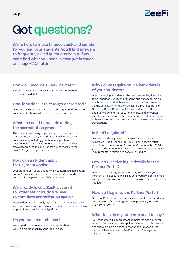

# Got questions?

**We're here to make finance quick and simple for you and your students. You'll find answers to frequently asked questions below. If you can't find what you need, please get in touch on [support@zeefi.io](mailto:support%40zeefi.io?subject=)**

#### **How do I become a ZeeFi partner?**

Simply [contact us](https://zeefi.io/contact-us/) and our Sales Team will get in touch to discuss the details.

#### **How long does it take to get accredited?**

Once we have your application and the required information, your accreditation can be confirmed very quickly.

#### **What do I need to provide during the accreditation process?**

The financial wellbeing of you and your students is our main priority. As such, accreditation involves assessing your business, including your financial position for the past financial year. This is an ASIC requirement and it's also a health check to ensure that our services are the best fit for you and your students.

#### **How can a student apply for Payment Assist?**

Your student can apply directly via a customised application link we'll provide you when you become a ZeeFi partner. You can also apply on behalf of your student.

#### **We already have a ZeeFi account for other services, do we need to complete accreditation again?**

No, you don't need to apply again if you're already accredited with us. However, all our partners are subject to annual review as part of our compliance obligations.

#### **Do you run credit checks?**

Yes, as part of processing a student application, we run a credit check to confirm eligibility.

#### **Why do we require online bank details of your students?**

When providing a student with credit, we are legally obliged to ask about and verify their income and expenses. We do this by looking at their bank accounts and/or statements via the [bankstatements.com.au](http://BankStatements.com.au) service, provided by Illion (formerly Dun & Bradstreet). [Illion](https://bankstatements.com.au/about/security) is independently tested and audited by external security experts, and encrypted with bank-level security. We are limited to read-only access to bank statements, and we can't view passwords or make transactions.

#### **Is ZeeFi regulated?**

Yes, we provide regulated consumer loans under our Australian Credit Licence 498589. In doing so, we must comply with the *National Consumer Protection Act 2006* (Cth) and the National Credit Code and we must meet ASIC's requirements in relation to consumer lending.

#### **How do I receive log in details for the Partner Portal?**

When you sign an agreement with us, we'll create you a [Partner Portal](https://portal.zeefi.io/s/login/) account. We'll also send you a welcome email with your username and one-time password for the first time you log in.

#### **How do I log in to the Partner Portal?**

Go to our [Partner Portal](https://portal.zeefi.io/s/login/) and provide your verified email address and password. If you've forgotten your password, follow the prompts to reset it.

#### **What fees do my students need to pay?**

Your students will pay an establishment fee and a monthly account fee. An arrears fee applies if the account is overdue and there is also a dishonour fee for each dishonoured payment. Please ask your ZeeFi Account Manager for a fee schedule.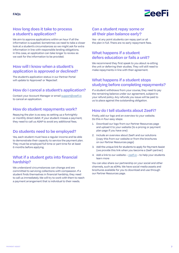

#### **How long does it take to process a student's application?**

We aim to approve applications within an hour if all the information is supplied. Sometimes we need to take a closer look at a student's circumstances so we might ask for extra information in line with responsible lending obligations. In this case, an application can take longer to review as we wait for the information to be provided.

#### **How will I know when a student's application is approved or declined?**

The student's application status in our Partner Portal will update to 'Approved' or 'Rejected'.

#### **How do I cancel a student's application?**

Contact your Account Manager or email [support@zeefi.io](mailto:support%40zeefi.io?subject=) to cancel an application.

#### **How do student repayments work?**

Repaying the plan is as easy as setting up a fortnightly or monthly direct debit. If your student misses a payment, they need to call us ASAP to avoid any additional fees.

#### **Do students need to be employed?**

Yes, each student must have a regular income and be able to demonstrate their capacity to service the payment plan. They must be employed full time or part time for at least 6 months before applying.

#### **What if a student gets into financial hardship?**

We understand circumstances can change and are committed to servicing collections with compassion. If a student finds themselves in financial hardship, they need to call us immediately. We will try to work with them to reach a payment arrangement that is individual to their needs.

#### **Can a student repay some or all their plan balance early?**

Yes - at any point students can repay part or all the plan in full. There are no early repayment fees.

#### **What happens if a student defers education or fails a unit?**

We recommend they first speak to you about re-sitting the unit or deferring their studies. They will still need to make repayments in line with their agreement.

#### **What happens if a student stops studying before completing repayments?**

If a student withdraws from your course, they need to pay the remaining balance under our agreement, subject to your refund policy. Any refunds you issue will be paid to us to place against the outstanding obligation.

#### **How do I tell students about ZeeFi?**

Firstly, add our logo and an overview to your website. Do this in four easy steps:

- 1. Download our logo from our Partner Resources page and upload it to your website (to a pricing or payment plan page if you have one)
- 2. Include an overview about ZeeFi and our solutions (copy this from our website or from the brochures on our Partner Resources page)
- 3. Add the unique link for students to apply for Payment Assist (we provide this link when you become a ZeeFi partner)
- 4. Add a link to our website – [zeefi.io](https://zeefi.io) to help your students learn more

You can also share our partnership on your social and other channels, such as eDMs. We have social media assets and brochures available for you to download and use through our Partner Resources page.